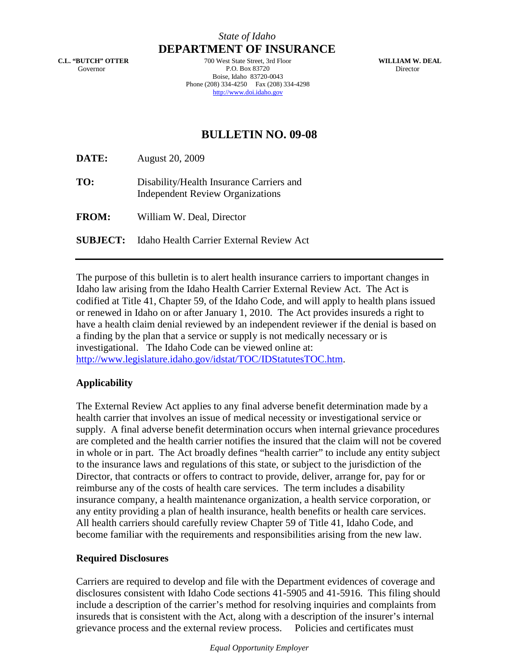**C.L. "BUTCH" OTTER** Governor

**DEPARTMENT OF INSURANCE** 700 West State Street, 3rd Floor P.O. Box 83720 Boise, Idaho 83720-0043 Phone (208) 334-4250 Fax (208) 334-4298 http://www.doi.idaho.gov

**WILLIAM W. DEAL** Director

## **BULLETIN NO. 09-08**

**DATE:** August 20, 2009

**TO:** Disability/Health Insurance Carriers and Independent Review Organizations

**FROM:** William W. Deal, Director

**SUBJECT:** Idaho Health Carrier External Review Act

The purpose of this bulletin is to alert health insurance carriers to important changes in Idaho law arising from the Idaho Health Carrier External Review Act. The Act is codified at Title 41, Chapter 59, of the Idaho Code, and will apply to health plans issued or renewed in Idaho on or after January 1, 2010. The Act provides insureds a right to have a health claim denial reviewed by an independent reviewer if the denial is based on a finding by the plan that a service or supply is not medically necessary or is investigational. The Idaho Code can be viewed online at: [http://www.legislature.idaho.gov/idstat/TOC/IDStatutesTOC.htm.](http://www.legislature.idaho.gov/idstat/TOC/IDStatutesTOC.htm)

## **Applicability**

The External Review Act applies to any final adverse benefit determination made by a health carrier that involves an issue of medical necessity or investigational service or supply. A final adverse benefit determination occurs when internal grievance procedures are completed and the health carrier notifies the insured that the claim will not be covered in whole or in part. The Act broadly defines "health carrier" to include any entity subject to the insurance laws and regulations of this state, or subject to the jurisdiction of the Director, that contracts or offers to contract to provide, deliver, arrange for, pay for or reimburse any of the costs of health care services. The term includes a disability insurance company, a health maintenance organization, a health service corporation, or any entity providing a plan of health insurance, health benefits or health care services. All health carriers should carefully review Chapter 59 of Title 41, Idaho Code, and become familiar with the requirements and responsibilities arising from the new law.

## **Required Disclosures**

Carriers are required to develop and file with the Department evidences of coverage and disclosures consistent with Idaho Code sections 41-5905 and 41-5916. This filing should include a description of the carrier's method for resolving inquiries and complaints from insureds that is consistent with the Act, along with a description of the insurer's internal grievance process and the external review process. Policies and certificates must

*Equal Opportunity Employer*